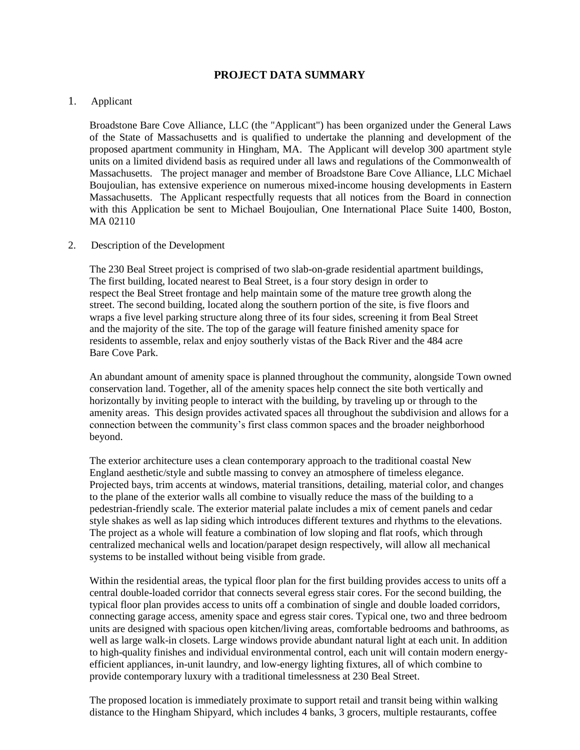## **PROJECT DATA SUMMARY**

## 1. Applicant

Broadstone Bare Cove Alliance, LLC (the "Applicant") has been organized under the General Laws of the State of Massachusetts and is qualified to undertake the planning and development of the proposed apartment community in Hingham, MA. The Applicant will develop 300 apartment style units on a limited dividend basis as required under all laws and regulations of the Commonwealth of Massachusetts. The project manager and member of Broadstone Bare Cove Alliance, LLC Michael Boujoulian, has extensive experience on numerous mixed-income housing developments in Eastern Massachusetts. The Applicant respectfully requests that all notices from the Board in connection with this Application be sent to Michael Boujoulian, One International Place Suite 1400, Boston, MA 02110

## 2. Description of the Development

The 230 Beal Street project is comprised of two slab-on-grade residential apartment buildings, The first building, located nearest to Beal Street, is a four story design in order to respect the Beal Street frontage and help maintain some of the mature tree growth along the street. The second building, located along the southern portion of the site, is five floors and wraps a five level parking structure along three of its four sides, screening it from Beal Street and the majority of the site. The top of the garage will feature finished amenity space for residents to assemble, relax and enjoy southerly vistas of the Back River and the 484 acre Bare Cove Park.

An abundant amount of amenity space is planned throughout the community, alongside Town owned conservation land. Together, all of the amenity spaces help connect the site both vertically and horizontally by inviting people to interact with the building, by traveling up or through to the amenity areas. This design provides activated spaces all throughout the subdivision and allows for a connection between the community's first class common spaces and the broader neighborhood beyond.

The exterior architecture uses a clean contemporary approach to the traditional coastal New England aesthetic/style and subtle massing to convey an atmosphere of timeless elegance. Projected bays, trim accents at windows, material transitions, detailing, material color, and changes to the plane of the exterior walls all combine to visually reduce the mass of the building to a pedestrian-friendly scale. The exterior material palate includes a mix of cement panels and cedar style shakes as well as lap siding which introduces different textures and rhythms to the elevations. The project as a whole will feature a combination of low sloping and flat roofs, which through centralized mechanical wells and location/parapet design respectively, will allow all mechanical systems to be installed without being visible from grade.

Within the residential areas, the typical floor plan for the first building provides access to units off a central double-loaded corridor that connects several egress stair cores. For the second building, the typical floor plan provides access to units off a combination of single and double loaded corridors, connecting garage access, amenity space and egress stair cores. Typical one, two and three bedroom units are designed with spacious open kitchen/living areas, comfortable bedrooms and bathrooms, as well as large walk-in closets. Large windows provide abundant natural light at each unit. In addition to high-quality finishes and individual environmental control, each unit will contain modern energyefficient appliances, in-unit laundry, and low-energy lighting fixtures, all of which combine to provide contemporary luxury with a traditional timelessness at 230 Beal Street.

The proposed location is immediately proximate to support retail and transit being within walking distance to the Hingham Shipyard, which includes 4 banks, 3 grocers, multiple restaurants, coffee